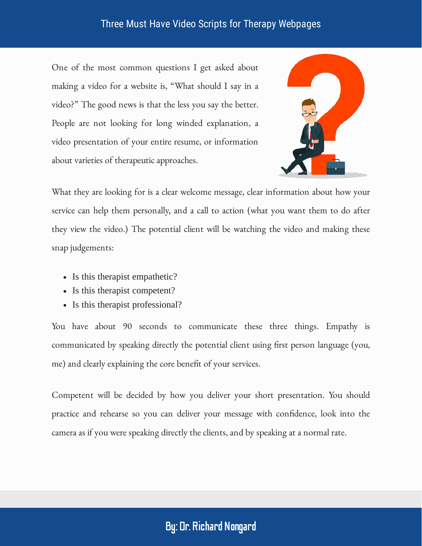One of the most common questions I get asked about making a video for a website is, "What should I say in a video?" The good news is that the less you say the better. People are not looking for long winded explanation, a video presentation of your entire resume, or information about varieties of therapeutic approaches.



What they are looking for is a clear welcome message, clear information about how your service can help them personally, and a call to action (what you want them to do after they view the video.) The potential client will be watching the video and making these snap judgements:

- Is this therapist empathetic?
- Is this therapist competent?
- Is this therapist professional?

You have about 90 seconds to communicate these three things. Empathy is communicated by speaking directly the potential client using first person language (you, me) and clearly explaining the core benefit of your services.

Competent will be decided by how you deliver your short presentation. You should practice and rehearse so you can deliver your message with confidence, look into the camera as if you were speaking directly the clients, and by speaking at a normal rate.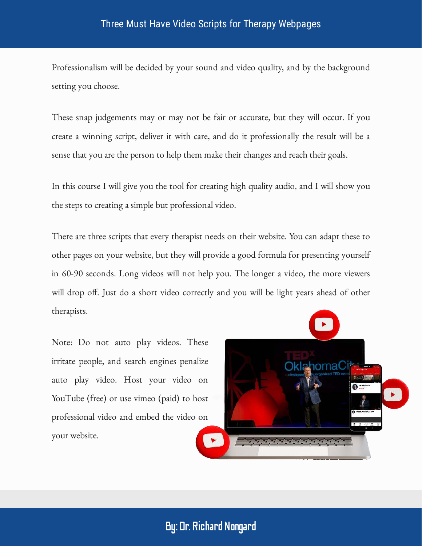Professionalism will be decided by your sound and video quality, and by the background setting you choose.

These snap judgements may or may not be fair or accurate, but they will occur. If you create a winning script, deliver it with care, and do it professionally the result will be a sense that you are the person to help them make their changes and reach their goals.

In this course I will give you the tool for creating high quality audio, and I will show you the steps to creating a simple but professional video.

There are three scripts that every therapist needs on their website. You can adapt these to other pages on your website, but they will provide a good formula for presenting yourself in 60-90 seconds. Long videos will not help you. The longer a video, the more viewers will drop off. Just do a short video correctly and you will be light years ahead of other therapists.

Note: Do not auto play videos. These irritate people, and search engines penalize auto play video. Host your video on YouTube (free) or use vimeo (paid) to host professional video and embed the video on your website.

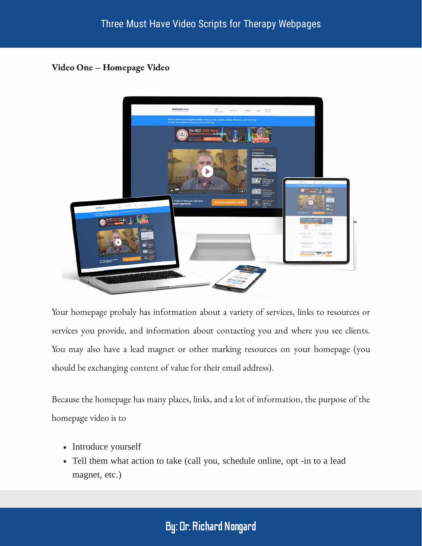Video One – Homepage Video



Your homepage probaly has information about a variety of services, links to resources or services you provide, and information about contacting you and where you see clients. You may also have a lead magnet or other marking resources on your homepage (you should be exchanging content of value for their email address).

Because the homepage has many places, links, and a lot of information, the purpose of the homepage video is to

- Introduce yourself
- Tell them what action to take (call you, schedule online, opt -in to a lead magnet, etc.)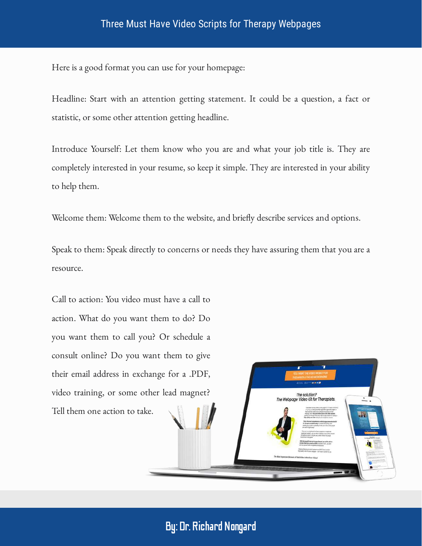Here is a good format you can use for your homepage:

Headline: Start with an attention getting statement. It could be a question, a fact or statistic, or some other attention getting headline.

Introduce Yourself: Let them know who you are and what your job title is. They are completely interested in your resume, so keep it simple. They are interested in your ability to help them.

Welcome them: Welcome them to the website, and briefly describe services and options.

Speak to them: Speak directly to concerns or needs they have assuring them that you are a resource.

Call to action: You video must have a call to action. What do you want them to do? Do you want them to call you? Or schedule a consult online? Do you want them to give their email address in exchange for a .PDF, video training, or some other lead magnet? Tell them one action to take.

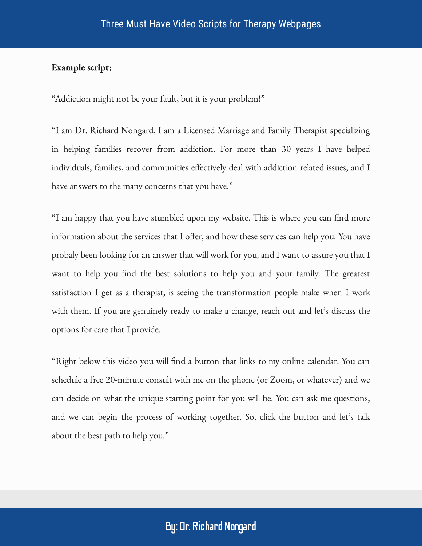#### Example script:

"Addiction might not be your fault, but it is your problem!"

"I am Dr. Richard Nongard, I am a Licensed Marriage and Family Therapist specializing in helping families recover from addiction. For more than 30 years I have helped individuals, families, and communities effectively deal with addiction related issues, and I have answers to the many concerns that you have."

"I am happy that you have stumbled upon my website. This is where you can find more information about the services that I offer, and how these services can help you. You have probaly been looking for an answer that will work for you, and I want to assure you that I want to help you find the best solutions to help you and your family. The greatest satisfaction I get as a therapist, is seeing the transformation people make when I work with them. If you are genuinely ready to make a change, reach out and let's discuss the options for care that I provide.

"Right below this video you will find a button that links to my online calendar. You can schedule a free 20-minute consult with me on the phone (or Zoom, or whatever) and we can decide on what the unique starting point for you will be. You can ask me questions, and we can begin the process of working together. So, click the button and let's talk about the best path to help you."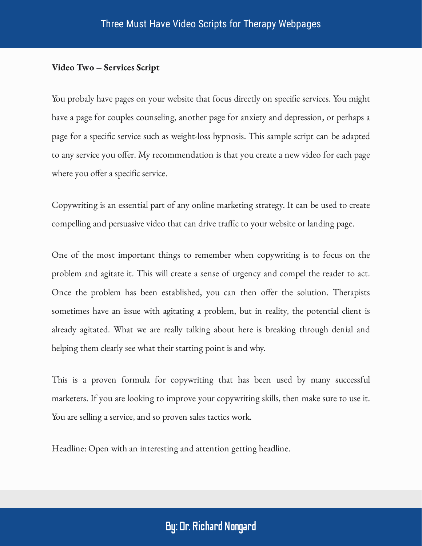#### Video Two – Services Script

You probaly have pages on your website that focus directly on specific services. You might have a page for couples counseling, another page for anxiety and depression, or perhaps a page for a specific service such as weight-loss hypnosis. This sample script can be adapted to any service you offer. My recommendation is that you create a new video for each page where you offer a specific service.

Copywriting is an essential part of any online marketing strategy. It can be used to create compelling and persuasive video that can drive traffic to your website or landing page.

One of the most important things to remember when copywriting is to focus on the problem and agitate it. This will create a sense of urgency and compel the reader to act. Once the problem has been established, you can then offer the solution. Therapists sometimes have an issue with agitating a problem, but in reality, the potential client is already agitated. What we are really talking about here is breaking through denial and helping them clearly see what their starting point is and why.

This is a proven formula for copywriting that has been used by many successful marketers. If you are looking to improve your copywriting skills, then make sure to use it. You are selling a service, and so proven sales tactics work.

Headline: Open with an interesting and attention getting headline.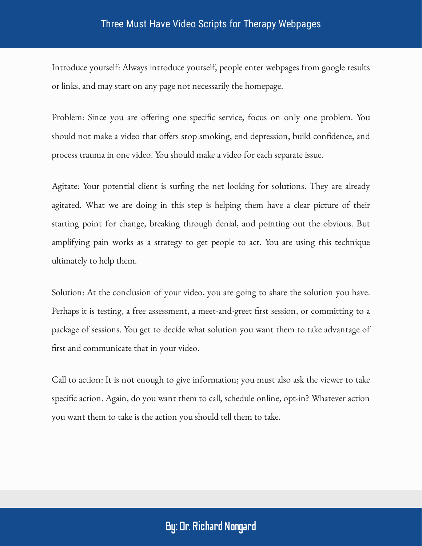Introduce yourself: Always introduce yourself, people enter webpages from google results or links, and may start on any page not necessarily the homepage.

Problem: Since you are offering one specific service, focus on only one problem. You should not make a video that offers stop smoking, end depression, build confidence, and process trauma in one video. You should make a video for each separate issue.

Agitate: Your potential client is surfing the net looking for solutions. They are already agitated. What we are doing in this step is helping them have a clear picture of their starting point for change, breaking through denial, and pointing out the obvious. But amplifying pain works as a strategy to get people to act. You are using this technique ultimately to help them.

Solution: At the conclusion of your video, you are going to share the solution you have. Perhaps it is testing, a free assessment, a meet-and-greet first session, or committing to a package of sessions. You get to decide what solution you want them to take advantage of first and communicate that in your video.

Call to action: It is not enough to give information; you must also ask the viewer to take specific action. Again, do you want them to call, schedule online, opt-in? Whatever action you want them to take is the action you should tell them to take.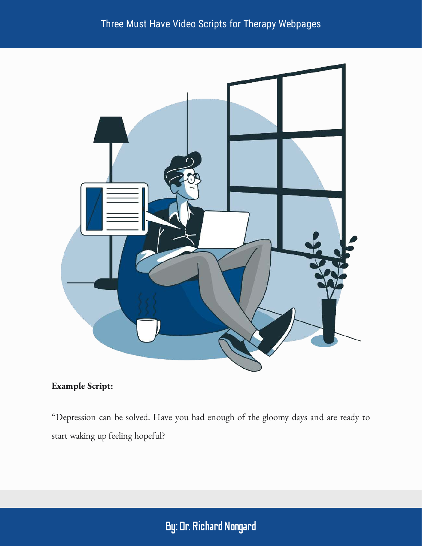

#### Example Script:

"Depression can be solved. Have you had enough of the gloomy days and are ready to start waking up feeling hopeful?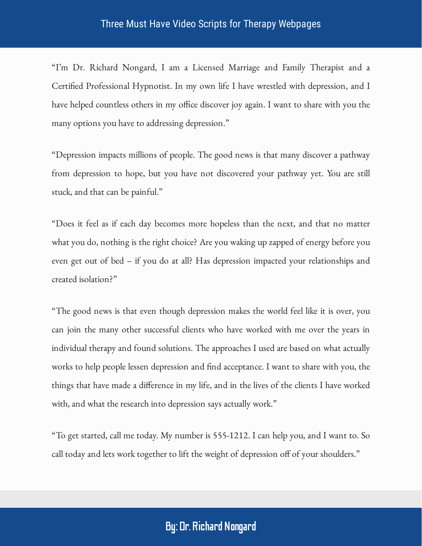"I'm Dr. Richard Nongard, I am a Licensed Marriage and Family Therapist and a Certified Professional Hypnotist. In my own life I have wrestled with depression, and I have helped countless others in my office discover joy again. I want to share with you the many options you have to addressing depression."

"Depression impacts millions of people. The good news is that many discover a pathway from depression to hope, but you have not discovered your pathway yet. You are still stuck, and that can be painful."

"Does it feel as if each day becomes more hopeless than the next, and that no matter what you do, nothing is the right choice? Are you waking up zapped of energy before you even get out of bed – if you do at all? Has depression impacted your relationships and created isolation?"

"The good news is that even though depression makes the world feel like it is over, you can join the many other successful clients who have worked with me over the years in individual therapy and found solutions. The approaches I used are based on what actually works to help people lessen depression and find acceptance. I want to share with you, the things that have made a difference in my life, and in the lives of the clients I have worked with, and what the research into depression says actually work."

"To get started, call me today. My number is 555-1212. I can help you, and I want to. So call today and lets work together to lift the weight of depression off of your shoulders."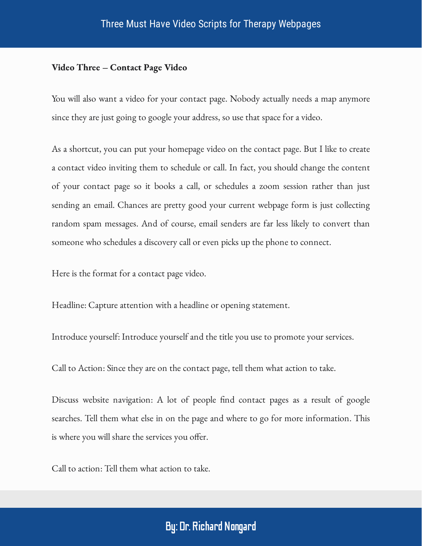#### Video Three – Contact Page Video

You will also want a video for your contact page. Nobody actually needs a map anymore since they are just going to google your address, so use that space for a video.

As a shortcut, you can put your homepage video on the contact page. But I like to create a contact video inviting them to schedule or call. In fact, you should change the content of your contact page so it books a call, or schedules a zoom session rather than just sending an email. Chances are pretty good your current webpage form is just collecting random spam messages. And of course, email senders are far less likely to convert than someone who schedules a discovery call or even picks up the phone to connect.

Here is the format for a contact page video.

Headline: Capture attention with a headline or opening statement.

Introduce yourself: Introduce yourself and the title you use to promote your services.

Call to Action: Since they are on the contact page, tell them what action to take.

Discuss website navigation: A lot of people find contact pages as a result of google searches. Tell them what else in on the page and where to go for more information. This is where you will share the services you offer.

Call to action: Tell them what action to take.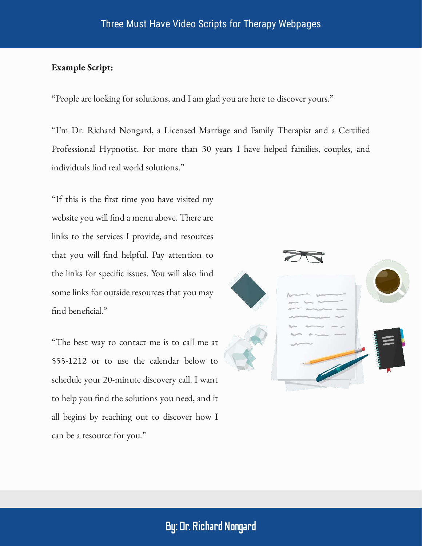#### Example Script:

"People are looking for solutions, and I am glad you are here to discover yours."

"I'm Dr. Richard Nongard, a Licensed Marriage and Family Therapist and a Certified Professional Hypnotist. For more than 30 years I have helped families, couples, and individuals find real world solutions."

"If this is the first time you have visited my website you will find a menu above. There are links to the services I provide, and resources that you will find helpful. Pay attention to the links for specific issues. You will also find some links for outside resources that you may find beneficial."

"The best way to contact me is to call me at 555-1212 or to use the calendar below to schedule your 20-minute discovery call. I want to help you find the solutions you need, and it all begins by reaching out to discover how I can be a resource for you."